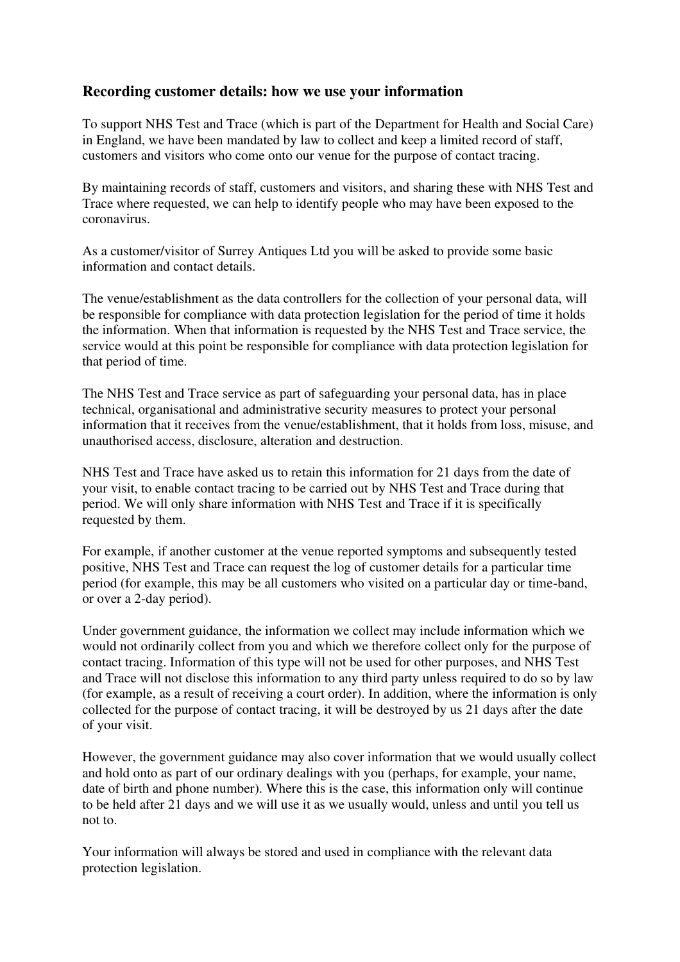## **Recording customer details: how we use your information**

To support NHS Test and Trace (which is part of the Department for Health and Social Care) in England, we have been mandated by law to collect and keep a limited record of staff, customers and visitors who come onto our venue for the purpose of contact tracing.

By maintaining records of staff, customers and visitors, and sharing these with NHS Test and Trace where requested, we can help to identify people who may have been exposed to the coronavirus.

As a customer/visitor of Surrey Antiques Ltd you will be asked to provide some basic information and contact details.

The venue/establishment as the data controllers for the collection of your personal data, will be responsible for compliance with data protection legislation for the period of time it holds the information. When that information is requested by the NHS Test and Trace service, the service would at this point be responsible for compliance with data protection legislation for that period of time.

The NHS Test and Trace service as part of safeguarding your personal data, has in place technical, organisational and administrative security measures to protect your personal information that it receives from the venue/establishment, that it holds from loss, misuse, and unauthorised access, disclosure, alteration and destruction.

NHS Test and Trace have asked us to retain this information for 21 days from the date of your visit, to enable contact tracing to be carried out by NHS Test and Trace during that period. We will only share information with NHS Test and Trace if it is specifically requested by them.

For example, if another customer at the venue reported symptoms and subsequently tested positive, NHS Test and Trace can request the log of customer details for a particular time period (for example, this may be all customers who visited on a particular day or time-band, or over a 2-day period).

Under government guidance, the information we collect may include information which we would not ordinarily collect from you and which we therefore collect only for the purpose of contact tracing. Information of this type will not be used for other purposes, and NHS Test and Trace will not disclose this information to any third party unless required to do so by law (for example, as a result of receiving a court order). In addition, where the information is only collected for the purpose of contact tracing, it will be destroyed by us 21 days after the date of your visit.

However, the government guidance may also cover information that we would usually collect and hold onto as part of our ordinary dealings with you (perhaps, for example, your name, date of birth and phone number). Where this is the case, this information only will continue to be held after 21 days and we will use it as we usually would, unless and until you tell us not to.

Your information will always be stored and used in compliance with the relevant data protection legislation.